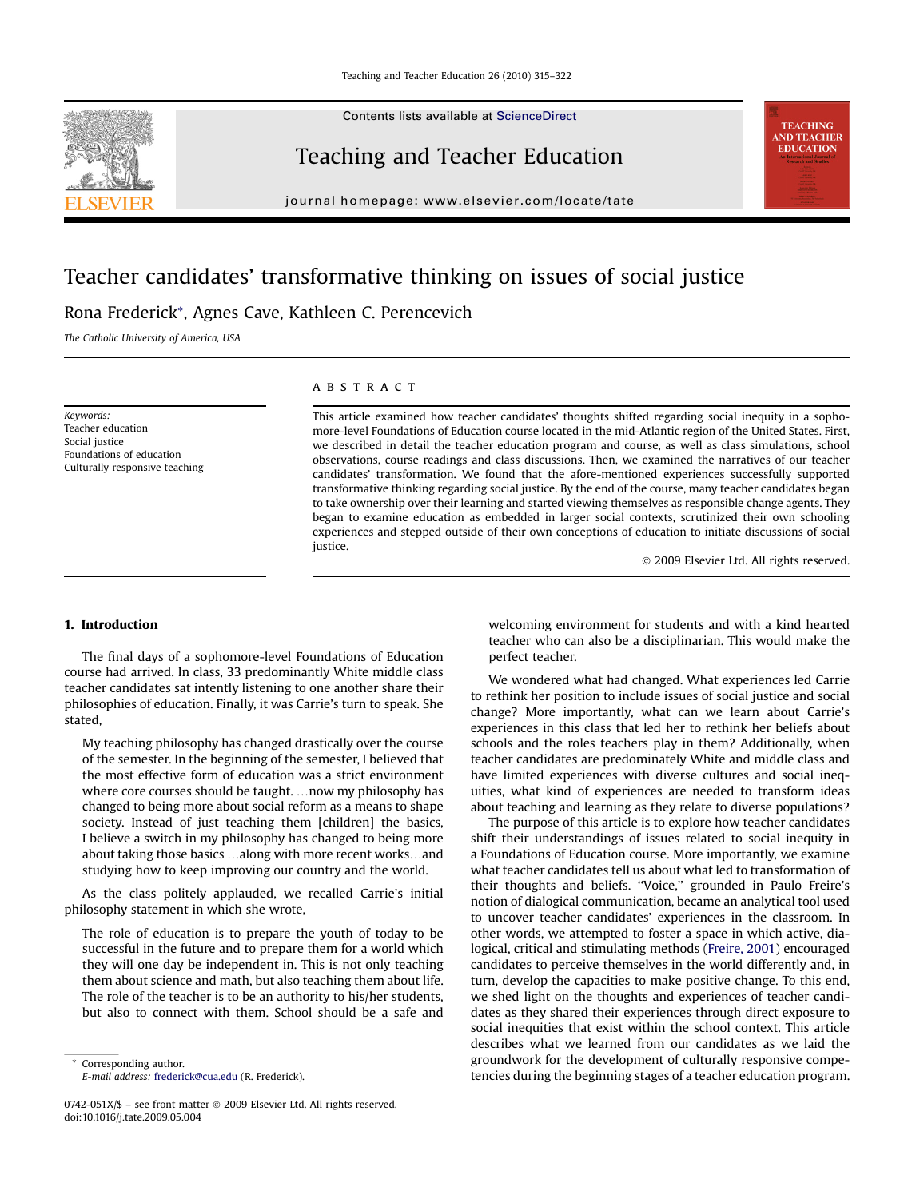Contents lists available at [ScienceDirect](www.sciencedirect.com/science/journal/0742051X)

# Teaching and Teacher Education

journal homepage: [www.elsevier.com/locate/tate](http://www.elsevierhealth.com/journals/crad)

# Teacher candidates' transformative thinking on issues of social justice

# Rona Frederick\*, Agnes Cave, Kathleen C. Perencevich

The Catholic University of America, USA

Keywords: Teacher education Social justice Foundations of education Culturally responsive teaching

# **ABSTRACT**

This article examined how teacher candidates' thoughts shifted regarding social inequity in a sophomore-level Foundations of Education course located in the mid-Atlantic region of the United States. First, we described in detail the teacher education program and course, as well as class simulations, school observations, course readings and class discussions. Then, we examined the narratives of our teacher candidates' transformation. We found that the afore-mentioned experiences successfully supported transformative thinking regarding social justice. By the end of the course, many teacher candidates began to take ownership over their learning and started viewing themselves as responsible change agents. They began to examine education as embedded in larger social contexts, scrutinized their own schooling experiences and stepped outside of their own conceptions of education to initiate discussions of social justice.

- 2009 Elsevier Ltd. All rights reserved.

# 1. Introduction

The final days of a sophomore-level Foundations of Education course had arrived. In class, 33 predominantly White middle class teacher candidates sat intently listening to one another share their philosophies of education. Finally, it was Carrie's turn to speak. She stated,

My teaching philosophy has changed drastically over the course of the semester. In the beginning of the semester, I believed that the most effective form of education was a strict environment where core courses should be taught. ... now my philosophy has changed to being more about social reform as a means to shape society. Instead of just teaching them [children] the basics, I believe a switch in my philosophy has changed to being more about taking those basics ...along with more recent works...and studying how to keep improving our country and the world.

As the class politely applauded, we recalled Carrie's initial philosophy statement in which she wrote,

The role of education is to prepare the youth of today to be successful in the future and to prepare them for a world which they will one day be independent in. This is not only teaching them about science and math, but also teaching them about life. The role of the teacher is to be an authority to his/her students, but also to connect with them. School should be a safe and

Corresponding author. E-mail address: [frederick@cua.edu](mailto:frederick@cua.edu) (R. Frederick).

0742-051X/\$ – see front matter © 2009 Elsevier Ltd. All rights reserved. doi:10.1016/j.tate.2009.05.004

welcoming environment for students and with a kind hearted teacher who can also be a disciplinarian. This would make the perfect teacher.

We wondered what had changed. What experiences led Carrie to rethink her position to include issues of social justice and social change? More importantly, what can we learn about Carrie's experiences in this class that led her to rethink her beliefs about schools and the roles teachers play in them? Additionally, when teacher candidates are predominately White and middle class and have limited experiences with diverse cultures and social inequities, what kind of experiences are needed to transform ideas about teaching and learning as they relate to diverse populations?

The purpose of this article is to explore how teacher candidates shift their understandings of issues related to social inequity in a Foundations of Education course. More importantly, we examine what teacher candidates tell us about what led to transformation of their thoughts and beliefs. ''Voice,'' grounded in Paulo Freire's notion of dialogical communication, became an analytical tool used to uncover teacher candidates' experiences in the classroom. In other words, we attempted to foster a space in which active, dialogical, critical and stimulating methods ([Freire, 2001](#page-7-0)) encouraged candidates to perceive themselves in the world differently and, in turn, develop the capacities to make positive change. To this end, we shed light on the thoughts and experiences of teacher candidates as they shared their experiences through direct exposure to social inequities that exist within the school context. This article describes what we learned from our candidates as we laid the groundwork for the development of culturally responsive competencies during the beginning stages of a teacher education program.



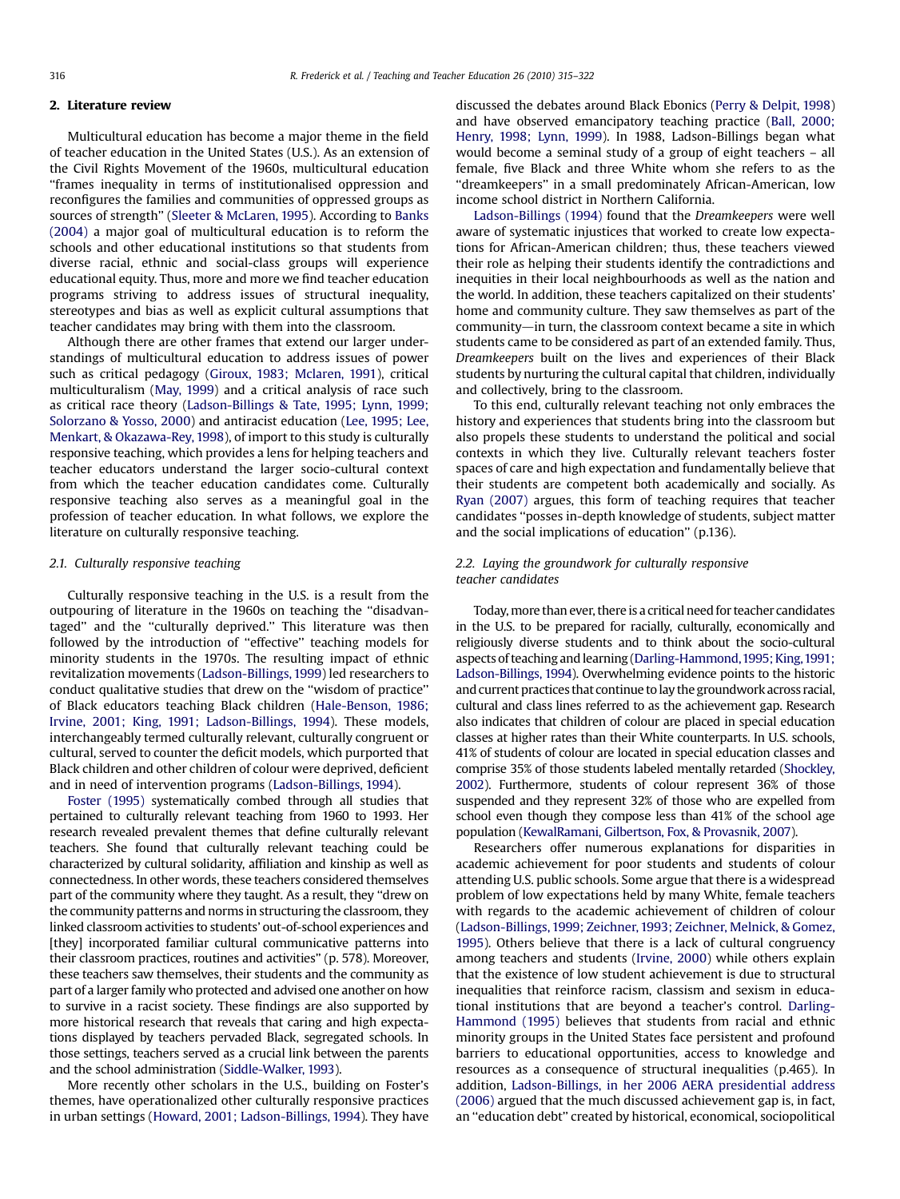#### 2. Literature review

Multicultural education has become a major theme in the field of teacher education in the United States (U.S.). As an extension of the Civil Rights Movement of the 1960s, multicultural education ''frames inequality in terms of institutionalised oppression and reconfigures the families and communities of oppressed groups as sources of strength'' ([Sleeter & McLaren, 1995](#page-7-0)). According to [Banks](#page-7-0) [\(2004\)](#page-7-0) a major goal of multicultural education is to reform the schools and other educational institutions so that students from diverse racial, ethnic and social-class groups will experience educational equity. Thus, more and more we find teacher education programs striving to address issues of structural inequality, stereotypes and bias as well as explicit cultural assumptions that teacher candidates may bring with them into the classroom.

Although there are other frames that extend our larger understandings of multicultural education to address issues of power such as critical pedagogy ([Giroux, 1983; Mclaren, 1991](#page-7-0)), critical multiculturalism [\(May, 1999\)](#page-7-0) and a critical analysis of race such as critical race theory ([Ladson-Billings & Tate, 1995; Lynn, 1999;](#page-7-0) [Solorzano & Yosso, 2000](#page-7-0)) and antiracist education ([Lee, 1995; Lee,](#page-7-0) [Menkart, & Okazawa-Rey, 1998](#page-7-0)), of import to this study is culturally responsive teaching, which provides a lens for helping teachers and teacher educators understand the larger socio-cultural context from which the teacher education candidates come. Culturally responsive teaching also serves as a meaningful goal in the profession of teacher education. In what follows, we explore the literature on culturally responsive teaching.

### 2.1. Culturally responsive teaching

Culturally responsive teaching in the U.S. is a result from the outpouring of literature in the 1960s on teaching the ''disadvantaged'' and the ''culturally deprived.'' This literature was then followed by the introduction of ''effective'' teaching models for minority students in the 1970s. The resulting impact of ethnic revitalization movements ([Ladson-Billings, 1999\)](#page-7-0) led researchers to conduct qualitative studies that drew on the ''wisdom of practice'' of Black educators teaching Black children [\(Hale-Benson, 1986;](#page-7-0) [Irvine, 2001; King, 1991; Ladson-Billings, 1994](#page-7-0)). These models, interchangeably termed culturally relevant, culturally congruent or cultural, served to counter the deficit models, which purported that Black children and other children of colour were deprived, deficient and in need of intervention programs ([Ladson-Billings, 1994\)](#page-7-0).

[Foster \(1995\)](#page-7-0) systematically combed through all studies that pertained to culturally relevant teaching from 1960 to 1993. Her research revealed prevalent themes that define culturally relevant teachers. She found that culturally relevant teaching could be characterized by cultural solidarity, affiliation and kinship as well as connectedness. In other words, these teachers considered themselves part of the community where they taught. As a result, they ''drew on the community patterns and norms in structuring the classroom, they linked classroom activities to students' out-of-school experiences and [they] incorporated familiar cultural communicative patterns into their classroom practices, routines and activities'' (p. 578). Moreover, these teachers saw themselves, their students and the community as part of a larger family who protected and advised one another on how to survive in a racist society. These findings are also supported by more historical research that reveals that caring and high expectations displayed by teachers pervaded Black, segregated schools. In those settings, teachers served as a crucial link between the parents and the school administration [\(Siddle-Walker, 1993](#page-7-0)).

More recently other scholars in the U.S., building on Foster's themes, have operationalized other culturally responsive practices in urban settings [\(Howard, 2001; Ladson-Billings, 1994\)](#page-7-0). They have discussed the debates around Black Ebonics ([Perry & Delpit, 1998\)](#page-7-0) and have observed emancipatory teaching practice [\(Ball, 2000;](#page-7-0) [Henry, 1998; Lynn, 1999\)](#page-7-0). In 1988, Ladson-Billings began what would become a seminal study of a group of eight teachers – all female, five Black and three White whom she refers to as the ''dreamkeepers'' in a small predominately African-American, low income school district in Northern California.

[Ladson-Billings \(1994\)](#page-7-0) found that the Dreamkeepers were well aware of systematic injustices that worked to create low expectations for African-American children; thus, these teachers viewed their role as helping their students identify the contradictions and inequities in their local neighbourhoods as well as the nation and the world. In addition, these teachers capitalized on their students' home and community culture. They saw themselves as part of the  $community$ —in turn, the classroom context became a site in which students came to be considered as part of an extended family. Thus, Dreamkeepers built on the lives and experiences of their Black students by nurturing the cultural capital that children, individually and collectively, bring to the classroom.

To this end, culturally relevant teaching not only embraces the history and experiences that students bring into the classroom but also propels these students to understand the political and social contexts in which they live. Culturally relevant teachers foster spaces of care and high expectation and fundamentally believe that their students are competent both academically and socially. As [Ryan \(2007\)](#page-7-0) argues, this form of teaching requires that teacher candidates ''posses in-depth knowledge of students, subject matter and the social implications of education'' (p.136).

# 2.2. Laying the groundwork for culturally responsive teacher candidates

Today, more than ever, there is a critical need for teacher candidates in the U.S. to be prepared for racially, culturally, economically and religiously diverse students and to think about the socio-cultural aspects of teaching and learning [\(Darling-Hammond,1995; King,1991;](#page-7-0) [Ladson-Billings, 1994](#page-7-0)). Overwhelming evidence points to the historic and current practices that continue tolay the groundwork across racial, cultural and class lines referred to as the achievement gap. Research also indicates that children of colour are placed in special education classes at higher rates than their White counterparts. In U.S. schools, 41% of students of colour are located in special education classes and comprise 35% of those students labeled mentally retarded [\(Shockley,](#page-7-0) [2002](#page-7-0)). Furthermore, students of colour represent 36% of those suspended and they represent 32% of those who are expelled from school even though they compose less than 41% of the school age population [\(KewalRamani, Gilbertson, Fox, & Provasnik, 2007\)](#page-7-0).

Researchers offer numerous explanations for disparities in academic achievement for poor students and students of colour attending U.S. public schools. Some argue that there is a widespread problem of low expectations held by many White, female teachers with regards to the academic achievement of children of colour ([Ladson-Billings, 1999; Zeichner, 1993; Zeichner, Melnick, & Gomez,](#page-7-0) [1995](#page-7-0)). Others believe that there is a lack of cultural congruency among teachers and students [\(Irvine, 2000\)](#page-7-0) while others explain that the existence of low student achievement is due to structural inequalities that reinforce racism, classism and sexism in educational institutions that are beyond a teacher's control. [Darling-](#page-7-0)[Hammond \(1995\)](#page-7-0) believes that students from racial and ethnic minority groups in the United States face persistent and profound barriers to educational opportunities, access to knowledge and resources as a consequence of structural inequalities (p.465). In addition, [Ladson-Billings, in her 2006 AERA presidential address](#page-7-0) [\(2006\)](#page-7-0) argued that the much discussed achievement gap is, in fact, an ''education debt'' created by historical, economical, sociopolitical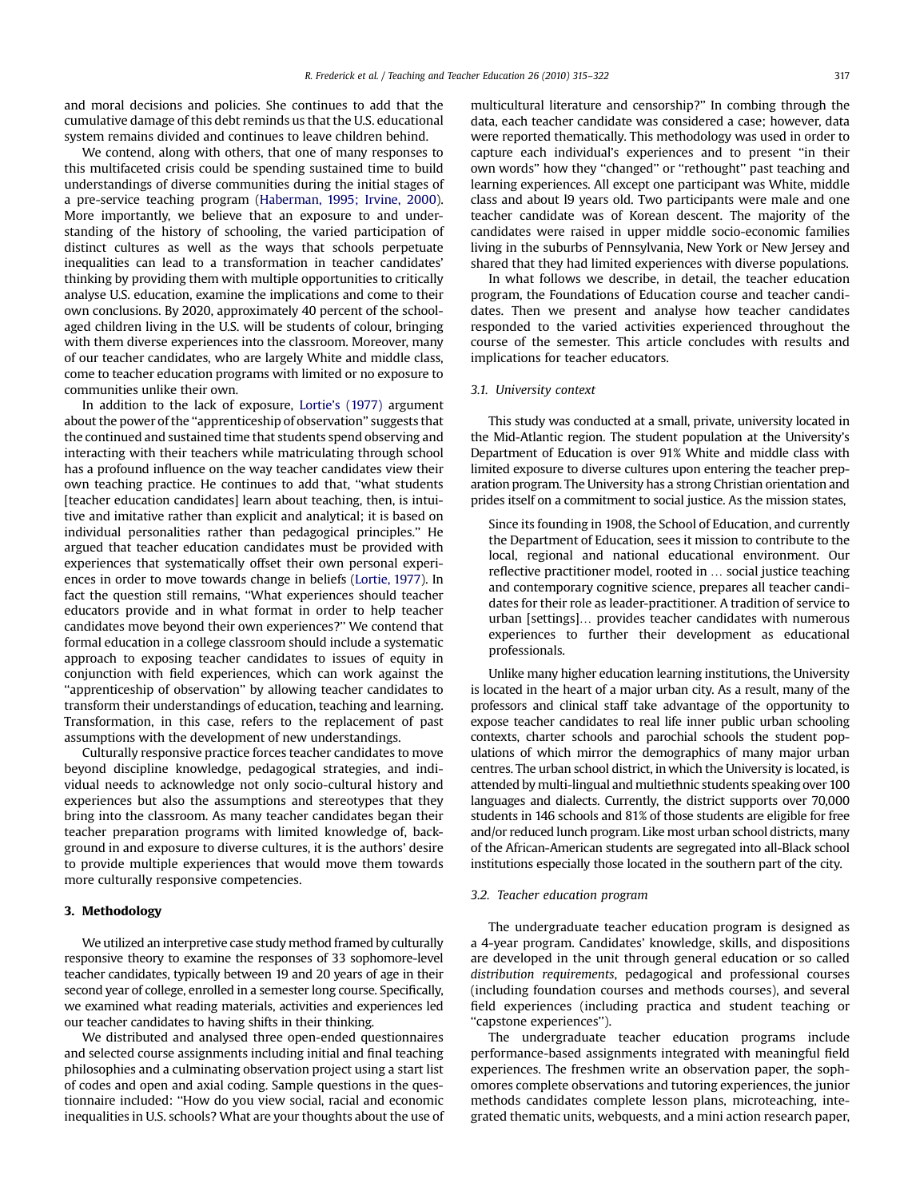and moral decisions and policies. She continues to add that the cumulative damage of this debt reminds us that the U.S. educational system remains divided and continues to leave children behind.

We contend, along with others, that one of many responses to this multifaceted crisis could be spending sustained time to build understandings of diverse communities during the initial stages of a pre-service teaching program ([Haberman, 1995; Irvine, 2000\)](#page-7-0). More importantly, we believe that an exposure to and understanding of the history of schooling, the varied participation of distinct cultures as well as the ways that schools perpetuate inequalities can lead to a transformation in teacher candidates' thinking by providing them with multiple opportunities to critically analyse U.S. education, examine the implications and come to their own conclusions. By 2020, approximately 40 percent of the schoolaged children living in the U.S. will be students of colour, bringing with them diverse experiences into the classroom. Moreover, many of our teacher candidates, who are largely White and middle class, come to teacher education programs with limited or no exposure to communities unlike their own.

In addition to the lack of exposure, [Lortie's \(1977\)](#page-7-0) argument about the power of the ''apprenticeship of observation'' suggests that the continued and sustained time that students spend observing and interacting with their teachers while matriculating through school has a profound influence on the way teacher candidates view their own teaching practice. He continues to add that, ''what students [teacher education candidates] learn about teaching, then, is intuitive and imitative rather than explicit and analytical; it is based on individual personalities rather than pedagogical principles.'' He argued that teacher education candidates must be provided with experiences that systematically offset their own personal experiences in order to move towards change in beliefs [\(Lortie, 1977\)](#page-7-0). In fact the question still remains, ''What experiences should teacher educators provide and in what format in order to help teacher candidates move beyond their own experiences?'' We contend that formal education in a college classroom should include a systematic approach to exposing teacher candidates to issues of equity in conjunction with field experiences, which can work against the ''apprenticeship of observation'' by allowing teacher candidates to transform their understandings of education, teaching and learning. Transformation, in this case, refers to the replacement of past assumptions with the development of new understandings.

Culturally responsive practice forces teacher candidates to move beyond discipline knowledge, pedagogical strategies, and individual needs to acknowledge not only socio-cultural history and experiences but also the assumptions and stereotypes that they bring into the classroom. As many teacher candidates began their teacher preparation programs with limited knowledge of, background in and exposure to diverse cultures, it is the authors' desire to provide multiple experiences that would move them towards more culturally responsive competencies.

# 3. Methodology

We utilized an interpretive case study method framed by culturally responsive theory to examine the responses of 33 sophomore-level teacher candidates, typically between 19 and 20 years of age in their second year of college, enrolled in a semester long course. Specifically, we examined what reading materials, activities and experiences led our teacher candidates to having shifts in their thinking.

We distributed and analysed three open-ended questionnaires and selected course assignments including initial and final teaching philosophies and a culminating observation project using a start list of codes and open and axial coding. Sample questions in the questionnaire included: ''How do you view social, racial and economic inequalities in U.S. schools? What are your thoughts about the use of multicultural literature and censorship?'' In combing through the data, each teacher candidate was considered a case; however, data were reported thematically. This methodology was used in order to capture each individual's experiences and to present ''in their own words'' how they ''changed'' or ''rethought'' past teaching and learning experiences. All except one participant was White, middle class and about l9 years old. Two participants were male and one teacher candidate was of Korean descent. The majority of the candidates were raised in upper middle socio-economic families living in the suburbs of Pennsylvania, New York or New Jersey and shared that they had limited experiences with diverse populations.

In what follows we describe, in detail, the teacher education program, the Foundations of Education course and teacher candidates. Then we present and analyse how teacher candidates responded to the varied activities experienced throughout the course of the semester. This article concludes with results and implications for teacher educators.

#### 3.1. University context

This study was conducted at a small, private, university located in the Mid-Atlantic region. The student population at the University's Department of Education is over 91% White and middle class with limited exposure to diverse cultures upon entering the teacher preparation program. The University has a strong Christian orientation and prides itself on a commitment to social justice. As the mission states,

Since its founding in 1908, the School of Education, and currently the Department of Education, sees it mission to contribute to the local, regional and national educational environment. Our reflective practitioner model, rooted in ... social justice teaching and contemporary cognitive science, prepares all teacher candidates for their role as leader-practitioner. A tradition of service to urban [settings]... provides teacher candidates with numerous experiences to further their development as educational professionals.

Unlike many higher education learning institutions, the University is located in the heart of a major urban city. As a result, many of the professors and clinical staff take advantage of the opportunity to expose teacher candidates to real life inner public urban schooling contexts, charter schools and parochial schools the student populations of which mirror the demographics of many major urban centres. The urban school district, in which the University is located, is attended by multi-lingual and multiethnic students speaking over 100 languages and dialects. Currently, the district supports over 70,000 students in 146 schools and 81% of those students are eligible for free and/or reduced lunch program. Like most urban school districts, many of the African-American students are segregated into all-Black school institutions especially those located in the southern part of the city.

### 3.2. Teacher education program

The undergraduate teacher education program is designed as a 4-year program. Candidates' knowledge, skills, and dispositions are developed in the unit through general education or so called distribution requirements, pedagogical and professional courses (including foundation courses and methods courses), and several field experiences (including practica and student teaching or ''capstone experiences'').

The undergraduate teacher education programs include performance-based assignments integrated with meaningful field experiences. The freshmen write an observation paper, the sophomores complete observations and tutoring experiences, the junior methods candidates complete lesson plans, microteaching, integrated thematic units, webquests, and a mini action research paper,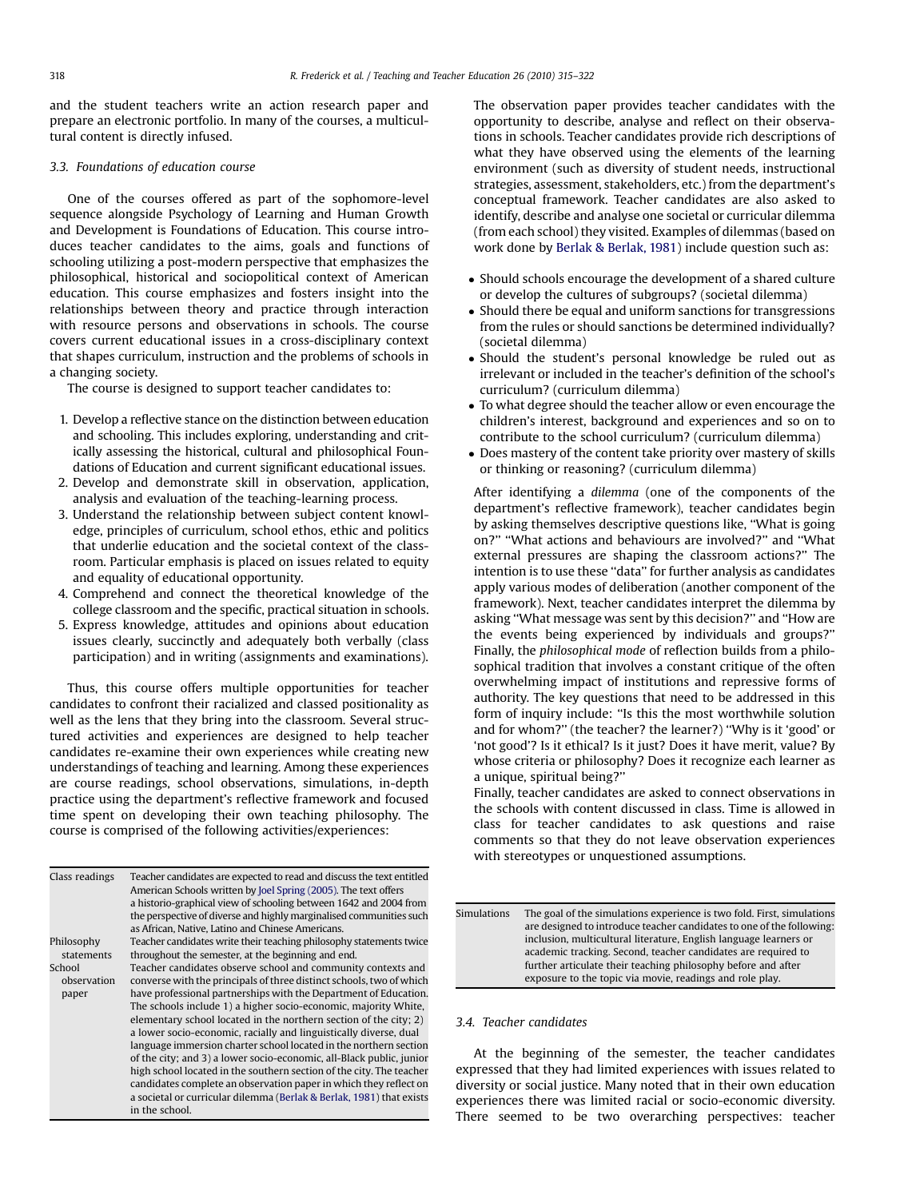and the student teachers write an action research paper and prepare an electronic portfolio. In many of the courses, a multicultural content is directly infused.

# 3.3. Foundations of education course

One of the courses offered as part of the sophomore-level sequence alongside Psychology of Learning and Human Growth and Development is Foundations of Education. This course introduces teacher candidates to the aims, goals and functions of schooling utilizing a post-modern perspective that emphasizes the philosophical, historical and sociopolitical context of American education. This course emphasizes and fosters insight into the relationships between theory and practice through interaction with resource persons and observations in schools. The course covers current educational issues in a cross-disciplinary context that shapes curriculum, instruction and the problems of schools in a changing society.

The course is designed to support teacher candidates to:

- 1. Develop a reflective stance on the distinction between education and schooling. This includes exploring, understanding and critically assessing the historical, cultural and philosophical Foundations of Education and current significant educational issues.
- 2. Develop and demonstrate skill in observation, application, analysis and evaluation of the teaching-learning process.
- 3. Understand the relationship between subject content knowledge, principles of curriculum, school ethos, ethic and politics that underlie education and the societal context of the classroom. Particular emphasis is placed on issues related to equity and equality of educational opportunity.
- 4. Comprehend and connect the theoretical knowledge of the college classroom and the specific, practical situation in schools.
- 5. Express knowledge, attitudes and opinions about education issues clearly, succinctly and adequately both verbally (class participation) and in writing (assignments and examinations).

Thus, this course offers multiple opportunities for teacher candidates to confront their racialized and classed positionality as well as the lens that they bring into the classroom. Several structured activities and experiences are designed to help teacher candidates re-examine their own experiences while creating new understandings of teaching and learning. Among these experiences are course readings, school observations, simulations, in-depth practice using the department's reflective framework and focused time spent on developing their own teaching philosophy. The course is comprised of the following activities/experiences:

| Class readings                 | Teacher candidates are expected to read and discuss the text entitled<br>American Schools written by Joel Spring (2005). The text offers<br>a historio-graphical view of schooling between 1642 and 2004 from<br>the perspective of diverse and highly marginalised communities such<br>as African, Native, Latino and Chinese Americans.                                                                                                                                                                                                                                                                                                                                                                       |
|--------------------------------|-----------------------------------------------------------------------------------------------------------------------------------------------------------------------------------------------------------------------------------------------------------------------------------------------------------------------------------------------------------------------------------------------------------------------------------------------------------------------------------------------------------------------------------------------------------------------------------------------------------------------------------------------------------------------------------------------------------------|
| Philosophy<br>statements       | Teacher candidates write their teaching philosophy statements twice<br>throughout the semester, at the beginning and end.                                                                                                                                                                                                                                                                                                                                                                                                                                                                                                                                                                                       |
| School<br>observation<br>paper | Teacher candidates observe school and community contexts and<br>converse with the principals of three distinct schools, two of which<br>have professional partnerships with the Department of Education.<br>The schools include 1) a higher socio-economic, majority White,<br>elementary school located in the northern section of the city; 2)<br>a lower socio-economic, racially and linguistically diverse, dual<br>language immersion charter school located in the northern section<br>of the city; and 3) a lower socio-economic, all-Black public, junior<br>high school located in the southern section of the city. The teacher<br>candidates complete an observation paper in which they reflect on |
|                                | a societal or curricular dilemma (Berlak & Berlak, 1981) that exists<br>in the school.                                                                                                                                                                                                                                                                                                                                                                                                                                                                                                                                                                                                                          |

The observation paper provides teacher candidates with the opportunity to describe, analyse and reflect on their observations in schools. Teacher candidates provide rich descriptions of what they have observed using the elements of the learning environment (such as diversity of student needs, instructional strategies, assessment, stakeholders, etc.) from the department's conceptual framework. Teacher candidates are also asked to identify, describe and analyse one societal or curricular dilemma (from each school) they visited. Examples of dilemmas (based on work done by [Berlak & Berlak, 1981](#page-7-0)) include question such as:

- Should schools encourage the development of a shared culture or develop the cultures of subgroups? (societal dilemma)
- Should there be equal and uniform sanctions for transgressions from the rules or should sanctions be determined individually? (societal dilemma)
- Should the student's personal knowledge be ruled out as irrelevant or included in the teacher's definition of the school's curriculum? (curriculum dilemma)
- To what degree should the teacher allow or even encourage the children's interest, background and experiences and so on to contribute to the school curriculum? (curriculum dilemma)
- Does mastery of the content take priority over mastery of skills or thinking or reasoning? (curriculum dilemma)

After identifying a dilemma (one of the components of the department's reflective framework), teacher candidates begin by asking themselves descriptive questions like, ''What is going on?'' ''What actions and behaviours are involved?'' and ''What external pressures are shaping the classroom actions?'' The intention is to use these ''data'' for further analysis as candidates apply various modes of deliberation (another component of the framework). Next, teacher candidates interpret the dilemma by asking ''What message was sent by this decision?'' and ''How are the events being experienced by individuals and groups?'' Finally, the philosophical mode of reflection builds from a philosophical tradition that involves a constant critique of the often overwhelming impact of institutions and repressive forms of authority. The key questions that need to be addressed in this form of inquiry include: ''Is this the most worthwhile solution and for whom?'' (the teacher? the learner?) ''Why is it 'good' or 'not good'? Is it ethical? Is it just? Does it have merit, value? By whose criteria or philosophy? Does it recognize each learner as a unique, spiritual being?''

Finally, teacher candidates are asked to connect observations in the schools with content discussed in class. Time is allowed in class for teacher candidates to ask questions and raise comments so that they do not leave observation experiences with stereotypes or unquestioned assumptions.

Simulations The goal of the simulations experience is two fold. First, simulations are designed to introduce teacher candidates to one of the following: inclusion, multicultural literature, English language learners or academic tracking. Second, teacher candidates are required to further articulate their teaching philosophy before and after exposure to the topic via movie, readings and role play.

## 3.4. Teacher candidates

At the beginning of the semester, the teacher candidates expressed that they had limited experiences with issues related to diversity or social justice. Many noted that in their own education experiences there was limited racial or socio-economic diversity. There seemed to be two overarching perspectives: teacher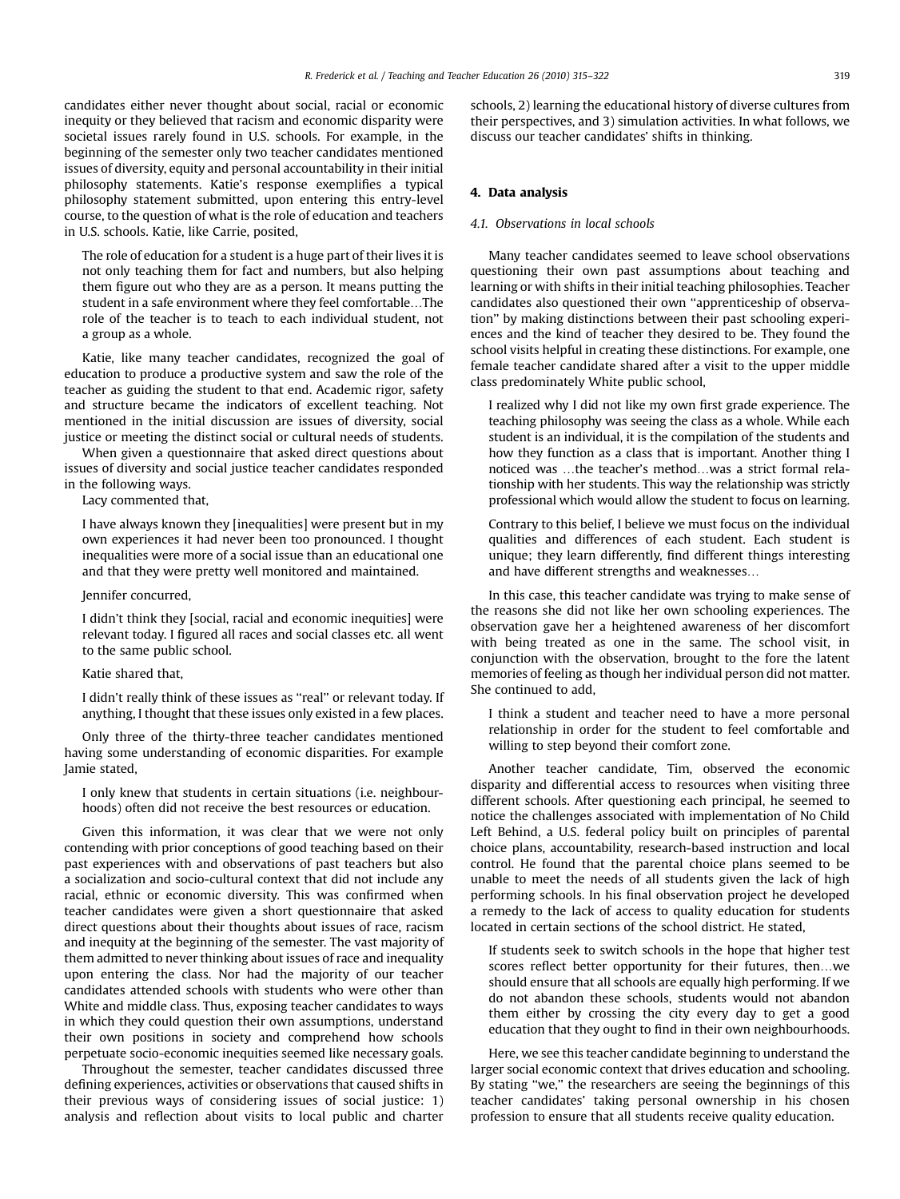candidates either never thought about social, racial or economic inequity or they believed that racism and economic disparity were societal issues rarely found in U.S. schools. For example, in the beginning of the semester only two teacher candidates mentioned issues of diversity, equity and personal accountability in their initial philosophy statements. Katie's response exemplifies a typical philosophy statement submitted, upon entering this entry-level course, to the question of what is the role of education and teachers in U.S. schools. Katie, like Carrie, posited,

The role of education for a student is a huge part of their lives it is not only teaching them for fact and numbers, but also helping them figure out who they are as a person. It means putting the student in a safe environment where they feel comfortable...The role of the teacher is to teach to each individual student, not a group as a whole.

Katie, like many teacher candidates, recognized the goal of education to produce a productive system and saw the role of the teacher as guiding the student to that end. Academic rigor, safety and structure became the indicators of excellent teaching. Not mentioned in the initial discussion are issues of diversity, social justice or meeting the distinct social or cultural needs of students.

When given a questionnaire that asked direct questions about issues of diversity and social justice teacher candidates responded in the following ways.

Lacy commented that,

I have always known they [inequalities] were present but in my own experiences it had never been too pronounced. I thought inequalities were more of a social issue than an educational one and that they were pretty well monitored and maintained.

#### Jennifer concurred,

I didn't think they [social, racial and economic inequities] were relevant today. I figured all races and social classes etc. all went to the same public school.

Katie shared that,

I didn't really think of these issues as ''real'' or relevant today. If anything, I thought that these issues only existed in a few places.

Only three of the thirty-three teacher candidates mentioned having some understanding of economic disparities. For example Jamie stated,

I only knew that students in certain situations (i.e. neighbourhoods) often did not receive the best resources or education.

Given this information, it was clear that we were not only contending with prior conceptions of good teaching based on their past experiences with and observations of past teachers but also a socialization and socio-cultural context that did not include any racial, ethnic or economic diversity. This was confirmed when teacher candidates were given a short questionnaire that asked direct questions about their thoughts about issues of race, racism and inequity at the beginning of the semester. The vast majority of them admitted to never thinking about issues of race and inequality upon entering the class. Nor had the majority of our teacher candidates attended schools with students who were other than White and middle class. Thus, exposing teacher candidates to ways in which they could question their own assumptions, understand their own positions in society and comprehend how schools perpetuate socio-economic inequities seemed like necessary goals.

Throughout the semester, teacher candidates discussed three defining experiences, activities or observations that caused shifts in their previous ways of considering issues of social justice: 1) analysis and reflection about visits to local public and charter schools, 2) learning the educational history of diverse cultures from their perspectives, and 3) simulation activities. In what follows, we discuss our teacher candidates' shifts in thinking.

# 4. Data analysis

#### 4.1. Observations in local schools

Many teacher candidates seemed to leave school observations questioning their own past assumptions about teaching and learning or with shifts in their initial teaching philosophies. Teacher candidates also questioned their own ''apprenticeship of observation'' by making distinctions between their past schooling experiences and the kind of teacher they desired to be. They found the school visits helpful in creating these distinctions. For example, one female teacher candidate shared after a visit to the upper middle class predominately White public school,

I realized why I did not like my own first grade experience. The teaching philosophy was seeing the class as a whole. While each student is an individual, it is the compilation of the students and how they function as a class that is important. Another thing I noticed was ...the teacher's method...was a strict formal relationship with her students. This way the relationship was strictly professional which would allow the student to focus on learning.

Contrary to this belief, I believe we must focus on the individual qualities and differences of each student. Each student is unique; they learn differently, find different things interesting and have different strengths and weaknesses.

In this case, this teacher candidate was trying to make sense of the reasons she did not like her own schooling experiences. The observation gave her a heightened awareness of her discomfort with being treated as one in the same. The school visit, in conjunction with the observation, brought to the fore the latent memories of feeling as though her individual person did not matter. She continued to add,

I think a student and teacher need to have a more personal relationship in order for the student to feel comfortable and willing to step beyond their comfort zone.

Another teacher candidate, Tim, observed the economic disparity and differential access to resources when visiting three different schools. After questioning each principal, he seemed to notice the challenges associated with implementation of No Child Left Behind, a U.S. federal policy built on principles of parental choice plans, accountability, research-based instruction and local control. He found that the parental choice plans seemed to be unable to meet the needs of all students given the lack of high performing schools. In his final observation project he developed a remedy to the lack of access to quality education for students located in certain sections of the school district. He stated,

If students seek to switch schools in the hope that higher test scores reflect better opportunity for their futures, then...we should ensure that all schools are equally high performing. If we do not abandon these schools, students would not abandon them either by crossing the city every day to get a good education that they ought to find in their own neighbourhoods.

Here, we see this teacher candidate beginning to understand the larger social economic context that drives education and schooling. By stating "we," the researchers are seeing the beginnings of this teacher candidates' taking personal ownership in his chosen profession to ensure that all students receive quality education.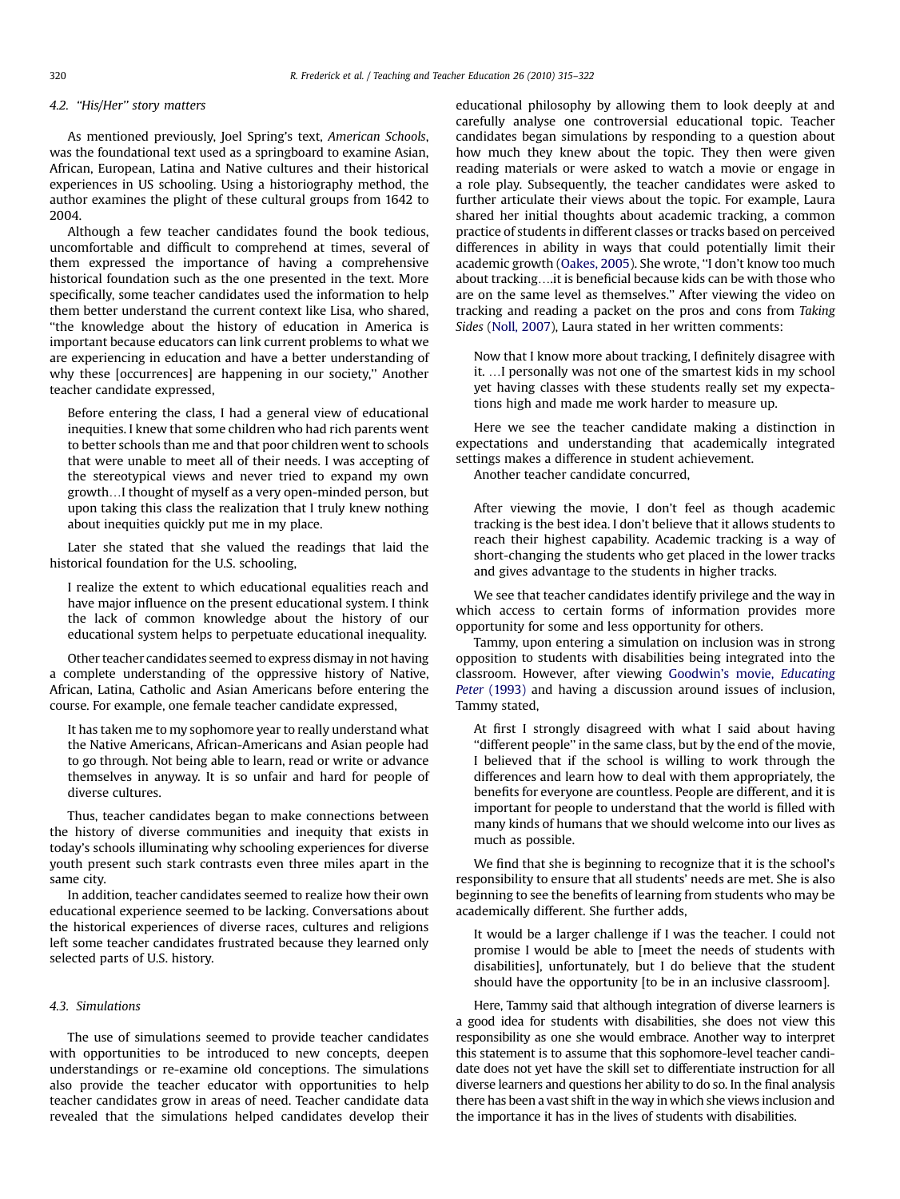# 4.2. "His/Her" story matters

As mentioned previously, Joel Spring's text, American Schools, was the foundational text used as a springboard to examine Asian, African, European, Latina and Native cultures and their historical experiences in US schooling. Using a historiography method, the author examines the plight of these cultural groups from 1642 to 2004.

Although a few teacher candidates found the book tedious, uncomfortable and difficult to comprehend at times, several of them expressed the importance of having a comprehensive historical foundation such as the one presented in the text. More specifically, some teacher candidates used the information to help them better understand the current context like Lisa, who shared, ''the knowledge about the history of education in America is important because educators can link current problems to what we are experiencing in education and have a better understanding of why these [occurrences] are happening in our society,'' Another teacher candidate expressed,

Before entering the class, I had a general view of educational inequities. I knew that some children who had rich parents went to better schools than me and that poor children went to schools that were unable to meet all of their needs. I was accepting of the stereotypical views and never tried to expand my own growth...I thought of myself as a very open-minded person, but upon taking this class the realization that I truly knew nothing about inequities quickly put me in my place.

Later she stated that she valued the readings that laid the historical foundation for the U.S. schooling,

I realize the extent to which educational equalities reach and have major influence on the present educational system. I think the lack of common knowledge about the history of our educational system helps to perpetuate educational inequality.

Other teacher candidates seemed to express dismay in not having a complete understanding of the oppressive history of Native, African, Latina, Catholic and Asian Americans before entering the course. For example, one female teacher candidate expressed,

It has taken me to my sophomore year to really understand what the Native Americans, African-Americans and Asian people had to go through. Not being able to learn, read or write or advance themselves in anyway. It is so unfair and hard for people of diverse cultures.

Thus, teacher candidates began to make connections between the history of diverse communities and inequity that exists in today's schools illuminating why schooling experiences for diverse youth present such stark contrasts even three miles apart in the same city.

In addition, teacher candidates seemed to realize how their own educational experience seemed to be lacking. Conversations about the historical experiences of diverse races, cultures and religions left some teacher candidates frustrated because they learned only selected parts of U.S. history.

# 4.3. Simulations

The use of simulations seemed to provide teacher candidates with opportunities to be introduced to new concepts, deepen understandings or re-examine old conceptions. The simulations also provide the teacher educator with opportunities to help teacher candidates grow in areas of need. Teacher candidate data revealed that the simulations helped candidates develop their educational philosophy by allowing them to look deeply at and carefully analyse one controversial educational topic. Teacher candidates began simulations by responding to a question about how much they knew about the topic. They then were given reading materials or were asked to watch a movie or engage in a role play. Subsequently, the teacher candidates were asked to further articulate their views about the topic. For example, Laura shared her initial thoughts about academic tracking, a common practice of students in different classes or tracks based on perceived differences in ability in ways that could potentially limit their academic growth [\(Oakes, 2005\)](#page-7-0). She wrote, ''I don't know too much about tracking....it is beneficial because kids can be with those who are on the same level as themselves.'' After viewing the video on tracking and reading a packet on the pros and cons from Taking Sides ([Noll, 2007\)](#page-7-0), Laura stated in her written comments:

Now that I know more about tracking, I definitely disagree with it. ... I personally was not one of the smartest kids in my school yet having classes with these students really set my expectations high and made me work harder to measure up.

Here we see the teacher candidate making a distinction in expectations and understanding that academically integrated settings makes a difference in student achievement.

Another teacher candidate concurred,

After viewing the movie, I don't feel as though academic tracking is the best idea. I don't believe that it allows students to reach their highest capability. Academic tracking is a way of short-changing the students who get placed in the lower tracks and gives advantage to the students in higher tracks.

We see that teacher candidates identify privilege and the way in which access to certain forms of information provides more opportunity for some and less opportunity for others.

Tammy, upon entering a simulation on inclusion was in strong opposition to students with disabilities being integrated into the classroom. However, after viewing [Goodwin's movie,](#page-7-0) Educating Peter [\(1993\)](#page-7-0) and having a discussion around issues of inclusion, Tammy stated,

At first I strongly disagreed with what I said about having ''different people'' in the same class, but by the end of the movie, I believed that if the school is willing to work through the differences and learn how to deal with them appropriately, the benefits for everyone are countless. People are different, and it is important for people to understand that the world is filled with many kinds of humans that we should welcome into our lives as much as possible.

We find that she is beginning to recognize that it is the school's responsibility to ensure that all students' needs are met. She is also beginning to see the benefits of learning from students who may be academically different. She further adds,

It would be a larger challenge if I was the teacher. I could not promise I would be able to [meet the needs of students with disabilities], unfortunately, but I do believe that the student should have the opportunity [to be in an inclusive classroom].

Here, Tammy said that although integration of diverse learners is a good idea for students with disabilities, she does not view this responsibility as one she would embrace. Another way to interpret this statement is to assume that this sophomore-level teacher candidate does not yet have the skill set to differentiate instruction for all diverse learners and questions her ability to do so. In the final analysis there has been a vast shift in the way in which she views inclusion and the importance it has in the lives of students with disabilities.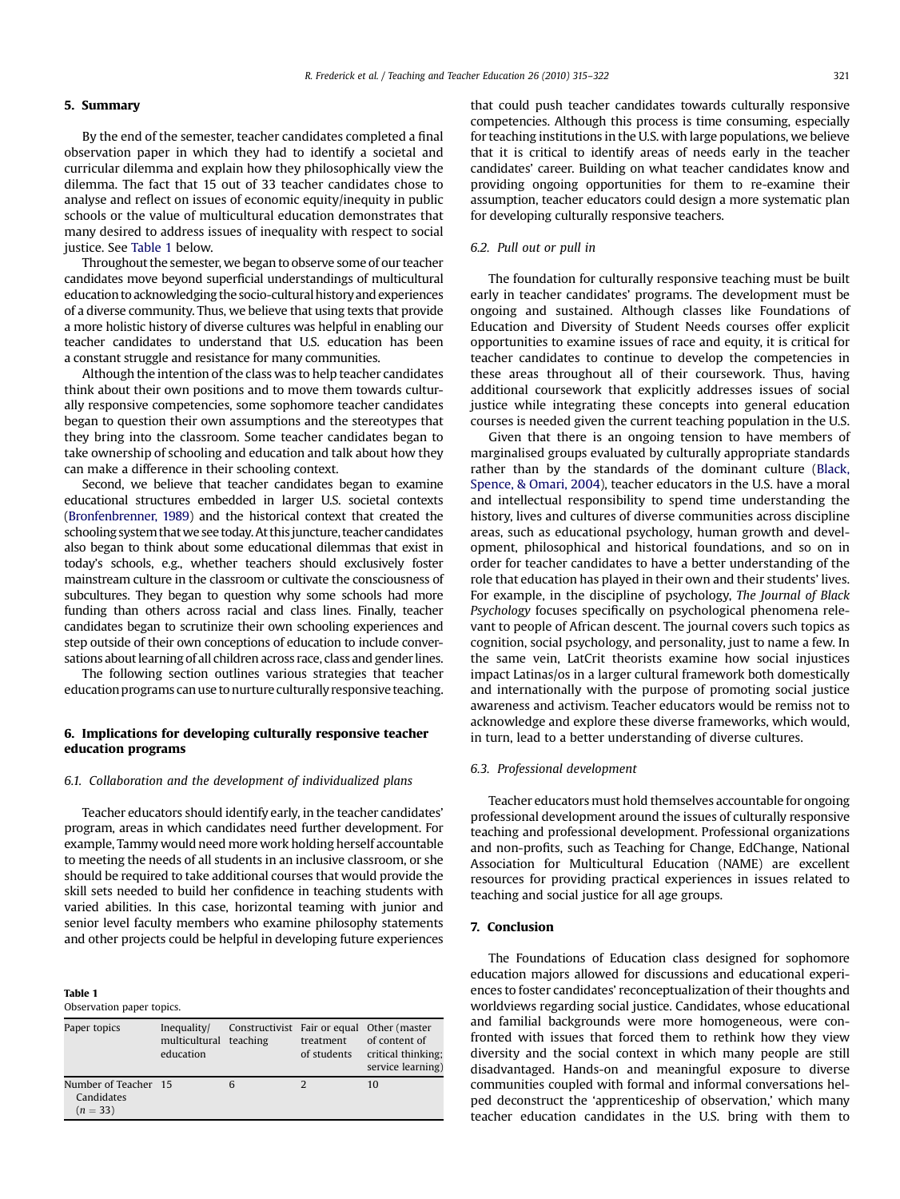#### 5. Summary

By the end of the semester, teacher candidates completed a final observation paper in which they had to identify a societal and curricular dilemma and explain how they philosophically view the dilemma. The fact that 15 out of 33 teacher candidates chose to analyse and reflect on issues of economic equity/inequity in public schools or the value of multicultural education demonstrates that many desired to address issues of inequality with respect to social justice. See Table 1 below.

Throughout the semester, we began to observe some of our teacher candidates move beyond superficial understandings of multicultural education to acknowledging the socio-cultural history and experiences of a diverse community. Thus, we believe that using texts that provide a more holistic history of diverse cultures was helpful in enabling our teacher candidates to understand that U.S. education has been a constant struggle and resistance for many communities.

Although the intention of the class was to help teacher candidates think about their own positions and to move them towards culturally responsive competencies, some sophomore teacher candidates began to question their own assumptions and the stereotypes that they bring into the classroom. Some teacher candidates began to take ownership of schooling and education and talk about how they can make a difference in their schooling context.

Second, we believe that teacher candidates began to examine educational structures embedded in larger U.S. societal contexts [\(Bronfenbrenner, 1989](#page-7-0)) and the historical context that created the schooling system that we see today. At this juncture, teacher candidates also began to think about some educational dilemmas that exist in today's schools, e.g., whether teachers should exclusively foster mainstream culture in the classroom or cultivate the consciousness of subcultures. They began to question why some schools had more funding than others across racial and class lines. Finally, teacher candidates began to scrutinize their own schooling experiences and step outside of their own conceptions of education to include conversations about learning of all children across race, class and gender lines.

The following section outlines various strategies that teacher education programs can use to nurture culturally responsive teaching.

# 6. Implications for developing culturally responsive teacher education programs

#### 6.1. Collaboration and the development of individualized plans

Teacher educators should identify early, in the teacher candidates' program, areas in which candidates need further development. For example, Tammy would need more work holding herself accountable to meeting the needs of all students in an inclusive classroom, or she should be required to take additional courses that would provide the skill sets needed to build her confidence in teaching students with varied abilities. In this case, horizontal teaming with junior and senior level faculty members who examine philosophy statements and other projects could be helpful in developing future experiences

Table 1

Observation paper topics.

| Paper topics                                     | Inequality/<br>multicultural teaching<br>education |   | treatment<br>of students | Constructivist Fair or equal Other (master<br>of content of<br>critical thinking;<br>service learning) |
|--------------------------------------------------|----------------------------------------------------|---|--------------------------|--------------------------------------------------------------------------------------------------------|
| Number of Teacher 15<br>Candidates<br>$(n = 33)$ |                                                    | 6 |                          | 10                                                                                                     |

that could push teacher candidates towards culturally responsive competencies. Although this process is time consuming, especially for teaching institutions in the U.S. with large populations, we believe that it is critical to identify areas of needs early in the teacher candidates' career. Building on what teacher candidates know and providing ongoing opportunities for them to re-examine their assumption, teacher educators could design a more systematic plan for developing culturally responsive teachers.

## 6.2. Pull out or pull in

The foundation for culturally responsive teaching must be built early in teacher candidates' programs. The development must be ongoing and sustained. Although classes like Foundations of Education and Diversity of Student Needs courses offer explicit opportunities to examine issues of race and equity, it is critical for teacher candidates to continue to develop the competencies in these areas throughout all of their coursework. Thus, having additional coursework that explicitly addresses issues of social justice while integrating these concepts into general education courses is needed given the current teaching population in the U.S.

Given that there is an ongoing tension to have members of marginalised groups evaluated by culturally appropriate standards rather than by the standards of the dominant culture ([Black,](#page-7-0) [Spence, & Omari, 2004](#page-7-0)), teacher educators in the U.S. have a moral and intellectual responsibility to spend time understanding the history, lives and cultures of diverse communities across discipline areas, such as educational psychology, human growth and development, philosophical and historical foundations, and so on in order for teacher candidates to have a better understanding of the role that education has played in their own and their students' lives. For example, in the discipline of psychology, The Journal of Black Psychology focuses specifically on psychological phenomena relevant to people of African descent. The journal covers such topics as cognition, social psychology, and personality, just to name a few. In the same vein, LatCrit theorists examine how social injustices impact Latinas/os in a larger cultural framework both domestically and internationally with the purpose of promoting social justice awareness and activism. Teacher educators would be remiss not to acknowledge and explore these diverse frameworks, which would, in turn, lead to a better understanding of diverse cultures.

#### 6.3. Professional development

Teacher educators must hold themselves accountable for ongoing professional development around the issues of culturally responsive teaching and professional development. Professional organizations and non-profits, such as Teaching for Change, EdChange, National Association for Multicultural Education (NAME) are excellent resources for providing practical experiences in issues related to teaching and social justice for all age groups.

#### 7. Conclusion

The Foundations of Education class designed for sophomore education majors allowed for discussions and educational experiences to foster candidates' reconceptualization of their thoughts and worldviews regarding social justice. Candidates, whose educational and familial backgrounds were more homogeneous, were confronted with issues that forced them to rethink how they view diversity and the social context in which many people are still disadvantaged. Hands-on and meaningful exposure to diverse communities coupled with formal and informal conversations helped deconstruct the 'apprenticeship of observation,' which many teacher education candidates in the U.S. bring with them to